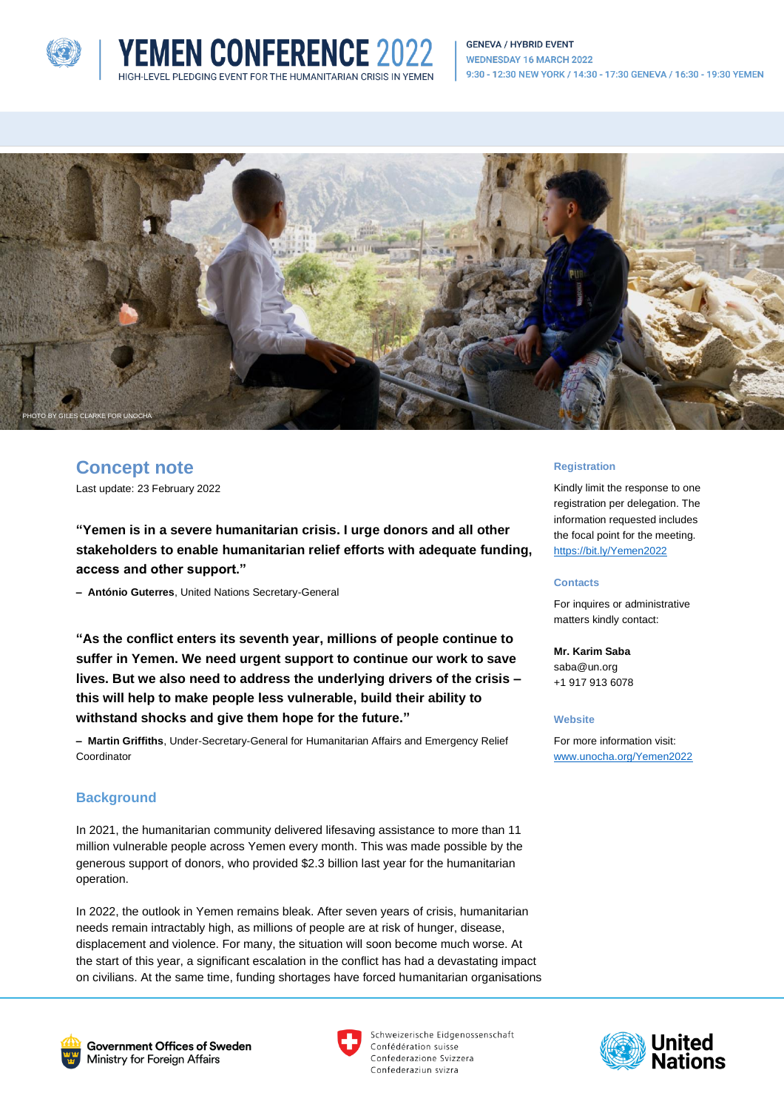





# **Concept note**

Last update: 23 February 2022

**"Yemen is in a severe humanitarian crisis. I urge donors and all other stakeholders to enable humanitarian relief efforts with adequate funding, access and other support."**

**YEMEN CONFERENCE 2022** 

**– António Guterres**, United Nations Secretary-General

**"As the conflict enters its seventh year, millions of people continue to suffer in Yemen. We need urgent support to continue our work to save lives. But we also need to address the underlying drivers of the crisis – this will help to make people less vulnerable, build their ability to withstand shocks and give them hope for the future."**

**– Martin Griffiths**, Under-Secretary-General for Humanitarian Affairs and Emergency Relief Coordinator

# **Background**

In 2021, the humanitarian community delivered lifesaving assistance to more than 11 million vulnerable people across Yemen every month. This was made possible by the generous support of donors, who provided \$2.3 billion last year for the humanitarian operation.

In 2022, the outlook in Yemen remains bleak. After seven years of crisis, humanitarian needs remain intractably high, as millions of people are at risk of hunger, disease, displacement and violence. For many, the situation will soon become much worse. At the start of this year, a significant escalation in the conflict has had a devastating impact on civilians. At the same time, funding shortages have forced humanitarian organisations

#### **Registration**

Kindly limit the response to one registration per delegation. The information requested includes the focal point for the meeting. <https://bit.ly/Yemen2022>

#### **Contacts**

For inquires or administrative matters kindly contact:

**Mr. Karim Saba** saba@un.org +1 917 913 6078

#### **Website**

For more information visit: [www.unocha.org/Yemen2022](http://www.unocha.org/Yemen2022)





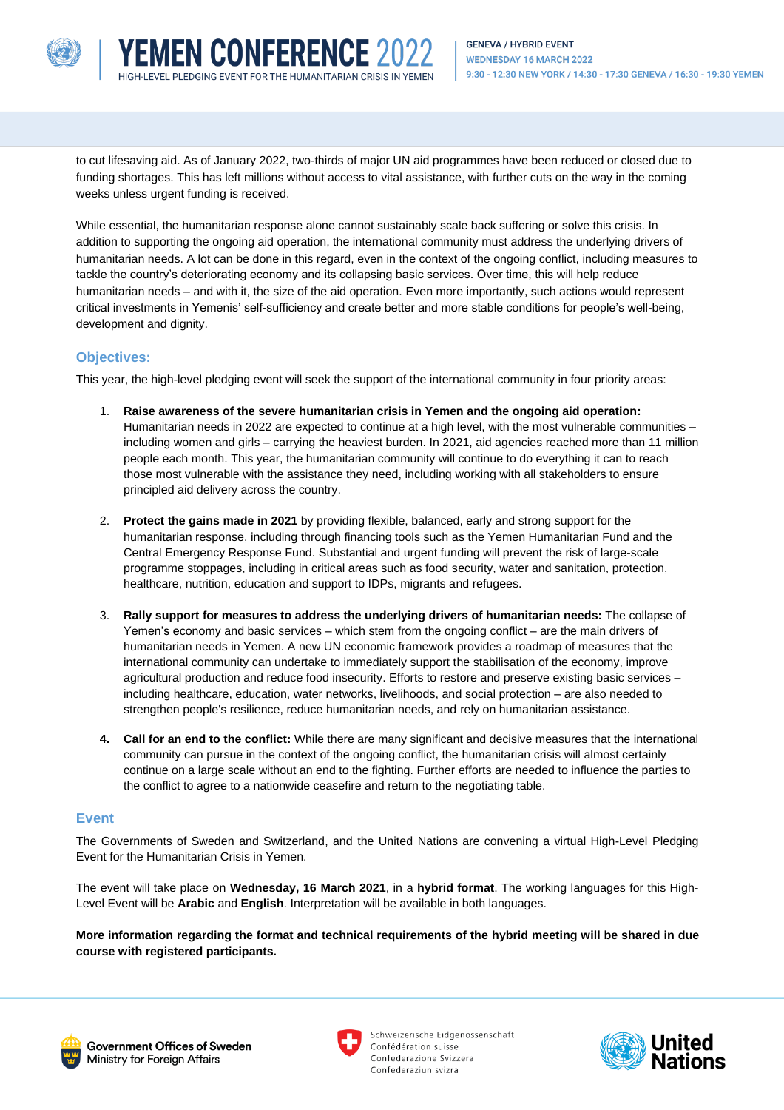

to cut lifesaving aid. As of January 2022, two-thirds of major UN aid programmes have been reduced or closed due to funding shortages. This has left millions without access to vital assistance, with further cuts on the way in the coming weeks unless urgent funding is received.

**YEMEN CONFERENCE 2022** 

While essential, the humanitarian response alone cannot sustainably scale back suffering or solve this crisis. In addition to supporting the ongoing aid operation, the international community must address the underlying drivers of humanitarian needs. A lot can be done in this regard, even in the context of the ongoing conflict, including measures to tackle the country's deteriorating economy and its collapsing basic services. Over time, this will help reduce humanitarian needs – and with it, the size of the aid operation. Even more importantly, such actions would represent critical investments in Yemenis' self-sufficiency and create better and more stable conditions for people's well-being, development and dignity.

# **Objectives:**

This year, the high-level pledging event will seek the support of the international community in four priority areas:

- 1. **Raise awareness of the severe humanitarian crisis in Yemen and the ongoing aid operation:**  Humanitarian needs in 2022 are expected to continue at a high level, with the most vulnerable communities – including women and girls – carrying the heaviest burden. In 2021, aid agencies reached more than 11 million people each month. This year, the humanitarian community will continue to do everything it can to reach those most vulnerable with the assistance they need, including working with all stakeholders to ensure principled aid delivery across the country.
- 2. **Protect the gains made in 2021** by providing flexible, balanced, early and strong support for the humanitarian response, including through financing tools such as the Yemen Humanitarian Fund and the Central Emergency Response Fund. Substantial and urgent funding will prevent the risk of large-scale programme stoppages, including in critical areas such as food security, water and sanitation, protection, healthcare, nutrition, education and support to IDPs, migrants and refugees.
- 3. **Rally support for measures to address the underlying drivers of humanitarian needs:** The collapse of Yemen's economy and basic services – which stem from the ongoing conflict – are the main drivers of humanitarian needs in Yemen. A new UN economic framework provides a roadmap of measures that the international community can undertake to immediately support the stabilisation of the economy, improve agricultural production and reduce food insecurity. Efforts to restore and preserve existing basic services – including healthcare, education, water networks, livelihoods, and social protection – are also needed to strengthen people's resilience, reduce humanitarian needs, and rely on humanitarian assistance.
- **4. Call for an end to the conflict:** While there are many significant and decisive measures that the international community can pursue in the context of the ongoing conflict, the humanitarian crisis will almost certainly continue on a large scale without an end to the fighting. Further efforts are needed to influence the parties to the conflict to agree to a nationwide ceasefire and return to the negotiating table.

# **Event**

The Governments of Sweden and Switzerland, and the United Nations are convening a virtual High-Level Pledging Event for the Humanitarian Crisis in Yemen.

The event will take place on **Wednesday, 16 March 2021**, in a **hybrid format**. The working languages for this High-Level Event will be **Arabic** and **English**. Interpretation will be available in both languages.

**More information regarding the format and technical requirements of the hybrid meeting will be shared in due course with registered participants.**